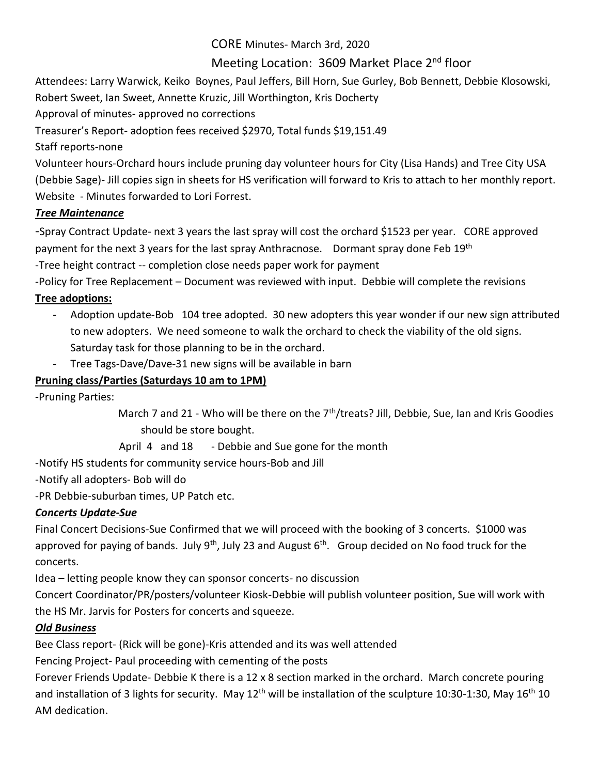CORE Minutes- March 3rd, 2020

# Meeting Location: 3609 Market Place 2<sup>nd</sup> floor

Attendees: Larry Warwick, Keiko Boynes, Paul Jeffers, Bill Horn, Sue Gurley, Bob Bennett, Debbie Klosowski, Robert Sweet, Ian Sweet, Annette Kruzic, Jill Worthington, Kris Docherty

Approval of minutes- approved no corrections

Treasurer's Report- adoption fees received \$2970, Total funds \$19,151.49

Staff reports-none

Volunteer hours-Orchard hours include pruning day volunteer hours for City (Lisa Hands) and Tree City USA (Debbie Sage)- Jill copies sign in sheets for HS verification will forward to Kris to attach to her monthly report. Website - Minutes forwarded to Lori Forrest.

# *Tree Maintenance*

-Spray Contract Update- next 3 years the last spray will cost the orchard \$1523 per year. CORE approved payment for the next 3 years for the last spray Anthracnose. Dormant spray done Feb 19<sup>th</sup> -Tree height contract -- completion close needs paper work for payment

-Policy for Tree Replacement – Document was reviewed with input. Debbie will complete the revisions **Tree adoptions:**

- Adoption update-Bob 104 tree adopted. 30 new adopters this year wonder if our new sign attributed to new adopters. We need someone to walk the orchard to check the viability of the old signs. Saturday task for those planning to be in the orchard.
- Tree Tags-Dave/Dave-31 new signs will be available in barn

# **Pruning class/Parties (Saturdays 10 am to 1PM)**

-Pruning Parties:

March 7 and 21 - Who will be there on the 7<sup>th</sup>/treats? Jill, Debbie, Sue, Ian and Kris Goodies should be store bought.

April 4 and 18 - Debbie and Sue gone for the month

-Notify HS students for community service hours-Bob and Jill

-Notify all adopters- Bob will do

-PR Debbie-suburban times, UP Patch etc.

### *Concerts Update-Sue*

Final Concert Decisions-Sue Confirmed that we will proceed with the booking of 3 concerts. \$1000 was approved for paying of bands. July  $9^{th}$ , July 23 and August  $6^{th}$ . Group decided on No food truck for the concerts.

Idea – letting people know they can sponsor concerts- no discussion

Concert Coordinator/PR/posters/volunteer Kiosk-Debbie will publish volunteer position, Sue will work with the HS Mr. Jarvis for Posters for concerts and squeeze.

### *Old Business*

Bee Class report- (Rick will be gone)-Kris attended and its was well attended

Fencing Project- Paul proceeding with cementing of the posts

Forever Friends Update- Debbie K there is a 12 x 8 section marked in the orchard. March concrete pouring and installation of 3 lights for security. May 12<sup>th</sup> will be installation of the sculpture 10:30-1:30, May 16<sup>th</sup> 10 AM dedication.